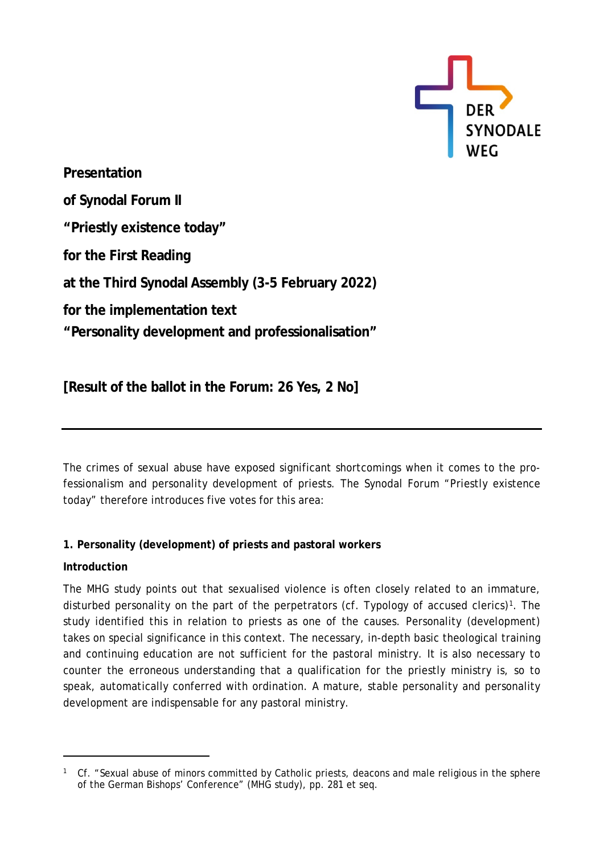

**Presentation of Synodal Forum II "Priestly existence today" for the First Reading at the Third Synodal Assembly (3-5 February 2022) for the implementation text "Personality development and professionalisation"**

**[Result of the ballot in the Forum: 26 Yes, 2 No]**

The crimes of sexual abuse have exposed significant shortcomings when it comes to the professionalism and personality development of priests. The Synodal Forum "Priestly existence today" therefore introduces five votes for this area:

# **1. Personality (development) of priests and pastoral workers**

# **Introduction**

The MHG study points out that sexualised violence is often closely related to an immature, disturbed personality on the part of the perpetrators (cf. Typology of accused clerics)<sup>1</sup>. The study identified this in relation to priests as one of the causes. Personality (development) takes on special significance in this context. The necessary, in-depth basic theological training and continuing education are not sufficient for the pastoral ministry. It is also necessary to counter the erroneous understanding that a qualification for the priestly ministry is, so to speak, automatically conferred with ordination. A mature, stable personality and personality development are indispensable for any pastoral ministry.

<span id="page-0-0"></span><sup>&</sup>lt;sup>1</sup> Cf. "Sexual abuse of minors committed by Catholic priests, deacons and male religious in the sphere of the German Bishops' Conference" (MHG study), pp. 281 et seq.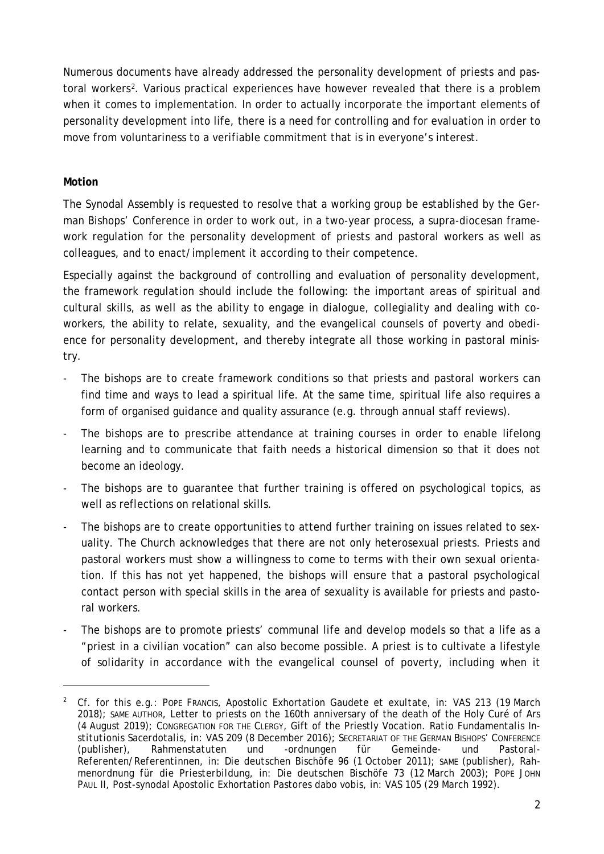Numerous documents have already addressed the personality development of priests and pastoral workers[2](#page-1-0). Various practical experiences have however revealed that there is a problem when it comes to implementation. In order to actually incorporate the important elements of personality development into life, there is a need for controlling and for evaluation in order to move from voluntariness to a verifiable commitment that is in everyone's interest.

# **Motion**

The Synodal Assembly is requested to resolve that a working group be established by the German Bishops' Conference in order to work out, in a two-year process, a supra-diocesan framework regulation for the personality development of priests and pastoral workers as well as colleagues, and to enact/implement it according to their competence.

Especially against the background of controlling and evaluation of personality development, the framework regulation should include the following: the important areas of spiritual and cultural skills, as well as the ability to engage in dialogue, collegiality and dealing with coworkers, the ability to relate, sexuality, and the evangelical counsels of poverty and obedience for personality development, and thereby integrate all those working in pastoral ministry.

- The bishops are to create framework conditions so that priests and pastoral workers can find time and ways to lead a spiritual life. At the same time, spiritual life also requires a form of organised guidance and quality assurance (e.g. through annual staff reviews).
- The bishops are to prescribe attendance at training courses in order to enable lifelong learning and to communicate that faith needs a historical dimension so that it does not become an ideology.
- The bishops are to guarantee that further training is offered on psychological topics, as well as reflections on relational skills.
- The bishops are to create opportunities to attend further training on issues related to sexuality. The Church acknowledges that there are not only heterosexual priests. Priests and pastoral workers must show a willingness to come to terms with their own sexual orientation. If this has not yet happened, the bishops will ensure that a pastoral psychological contact person with special skills in the area of sexuality is available for priests and pastoral workers.
- The bishops are to promote priests' communal life and develop models so that a life as a "priest in a civilian vocation" can also become possible. A priest is to cultivate a lifestyle of solidarity in accordance with the evangelical counsel of poverty, including when it

<span id="page-1-0"></span><sup>2</sup> Cf. for this e.g.: POPE FRANCIS, Apostolic Exhortation *Gaudete et exultate*, in: *VAS* 213 (19 March 2018); SAME AUTHOR, Letter to priests on the 160th anniversary of the death of the Holy Curé of Ars (4 August 2019); CONGREGATION FOR THE CLERGY, Gift of the Priestly Vocation. *Ratio Fundamentalis Institutionis Sacerdotalis*, in: *VAS* 209 (8 December 2016); SECRETARIAT OF THE GERMAN BISHOPS' CONFERENCE (publisher), *Rahmenstatuten und -ordnungen für Gemeinde- und Pastoral-Referenten/Referentinnen*, in: *Die deutschen Bischöfe* 96 (1 October 2011); SAME (publisher), *Rahmenordnung für die Priesterbildung*, in: *Die deutschen Bischöfe* 73 (12 March 2003); POPE JOHN PAUL II, Post-synodal Apostolic Exhortation *Pastores dabo vobis*, in: *VAS* 105 (29 March 1992).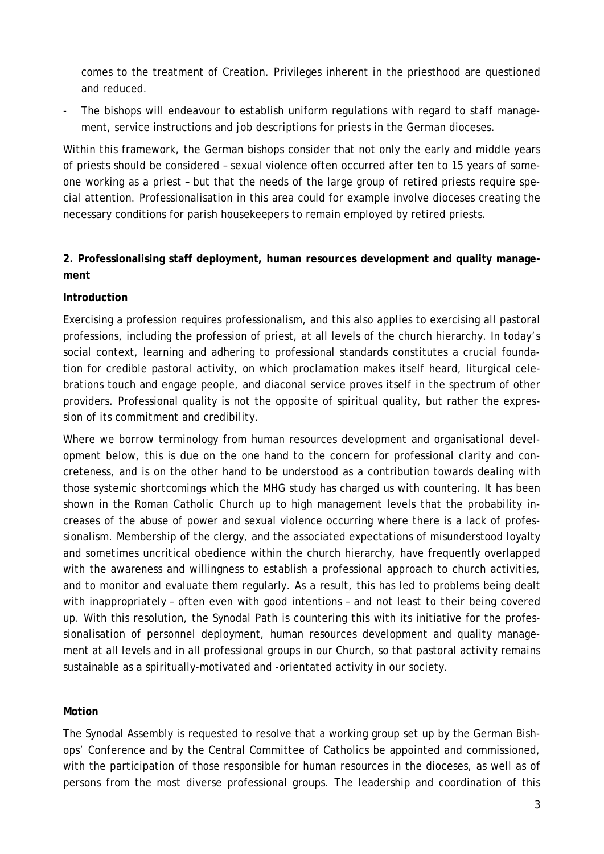comes to the treatment of Creation. Privileges inherent in the priesthood are questioned and reduced.

The bishops will endeavour to establish uniform regulations with regard to staff management, service instructions and job descriptions for priests in the German dioceses.

Within this framework, the German bishops consider that not only the early and middle years of priests should be considered – sexual violence often occurred after ten to 15 years of someone working as a priest – but that the needs of the large group of retired priests require special attention. Professionalisation in this area could for example involve dioceses creating the necessary conditions for parish housekeepers to remain employed by retired priests.

# **2. Professionalising staff deployment, human resources development and quality management**

# **Introduction**

Exercising a profession requires professionalism, and this also applies to exercising all pastoral professions, including the profession of priest, at all levels of the church hierarchy. In today's social context, learning and adhering to professional standards constitutes a crucial foundation for credible pastoral activity, on which proclamation makes itself heard, liturgical celebrations touch and engage people, and diaconal service proves itself in the spectrum of other providers. Professional quality is not the opposite of spiritual quality, but rather the expression of its commitment and credibility.

Where we borrow terminology from human resources development and organisational development below, this is due on the one hand to the concern for professional clarity and concreteness, and is on the other hand to be understood as a contribution towards dealing with those systemic shortcomings which the MHG study has charged us with countering. It has been shown in the Roman Catholic Church up to high management levels that the probability increases of the abuse of power and sexual violence occurring where there is a lack of professionalism. Membership of the clergy, and the associated expectations of misunderstood loyalty and sometimes uncritical obedience within the church hierarchy, have frequently overlapped with the awareness and willingness to establish a professional approach to church activities, and to monitor and evaluate them regularly. As a result, this has led to problems being dealt with inappropriately – often even with good intentions – and not least to their being covered up. With this resolution, the Synodal Path is countering this with its initiative for the professionalisation of personnel deployment, human resources development and quality management at all levels and in all professional groups in our Church, so that pastoral activity remains sustainable as a spiritually-motivated and -orientated activity in our society.

#### **Motion**

The Synodal Assembly is requested to resolve that a working group set up by the German Bishops' Conference and by the Central Committee of Catholics be appointed and commissioned, with the participation of those responsible for human resources in the dioceses, as well as of persons from the most diverse professional groups. The leadership and coordination of this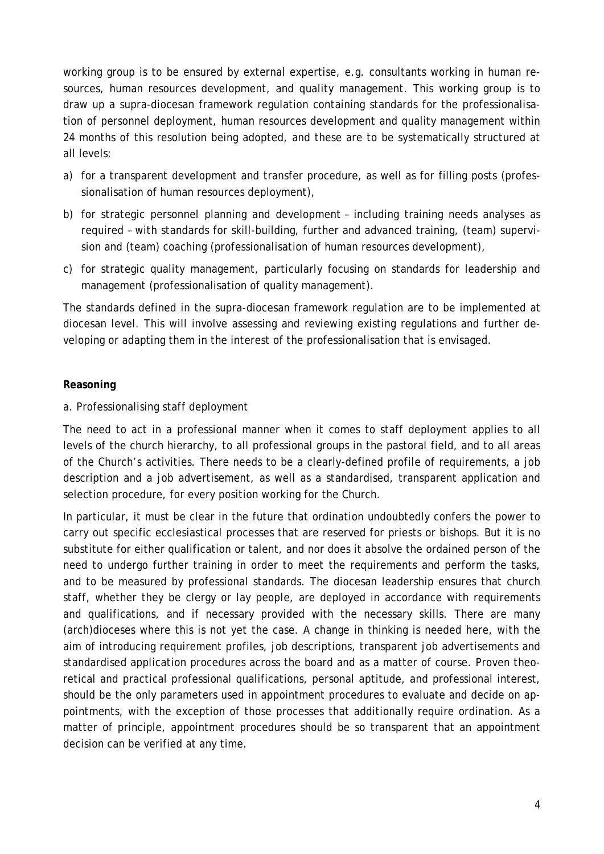working group is to be ensured by external expertise, e.g. consultants working in human resources, human resources development, and quality management. This working group is to draw up a supra-diocesan framework regulation containing standards for the professionalisation of personnel deployment, human resources development and quality management within 24 months of this resolution being adopted, and these are to be systematically structured at all levels:

- a) for a transparent development and transfer procedure, as well as for filling posts (professionalisation of human resources deployment),
- b) for strategic personnel planning and development including training needs analyses as required – with standards for skill-building, further and advanced training, (team) supervision and (team) coaching (professionalisation of human resources development),
- c) for strategic quality management, particularly focusing on standards for leadership and management (professionalisation of quality management).

The standards defined in the supra-diocesan framework regulation are to be implemented at diocesan level. This will involve assessing and reviewing existing regulations and further developing or adapting them in the interest of the professionalisation that is envisaged.

# **Reasoning**

a. Professionalising staff deployment

The need to act in a professional manner when it comes to staff deployment applies to all levels of the church hierarchy, to all professional groups in the pastoral field, and to all areas of the Church's activities. There needs to be a clearly-defined profile of requirements, a job description and a job advertisement, as well as a standardised, transparent application and selection procedure, for every position working for the Church.

In particular, it must be clear in the future that ordination undoubtedly confers the power to carry out specific ecclesiastical processes that are reserved for priests or bishops. But it is no substitute for either qualification or talent, and nor does it absolve the ordained person of the need to undergo further training in order to meet the requirements and perform the tasks, and to be measured by professional standards. The diocesan leadership ensures that church staff, whether they be clergy or lay people, are deployed in accordance with requirements and qualifications, and if necessary provided with the necessary skills. There are many (arch)dioceses where this is not yet the case. A change in thinking is needed here, with the aim of introducing requirement profiles, job descriptions, transparent job advertisements and standardised application procedures across the board and as a matter of course. Proven theoretical and practical professional qualifications, personal aptitude, and professional interest, should be the only parameters used in appointment procedures to evaluate and decide on appointments, with the exception of those processes that additionally require ordination. As a matter of principle, appointment procedures should be so transparent that an appointment decision can be verified at any time.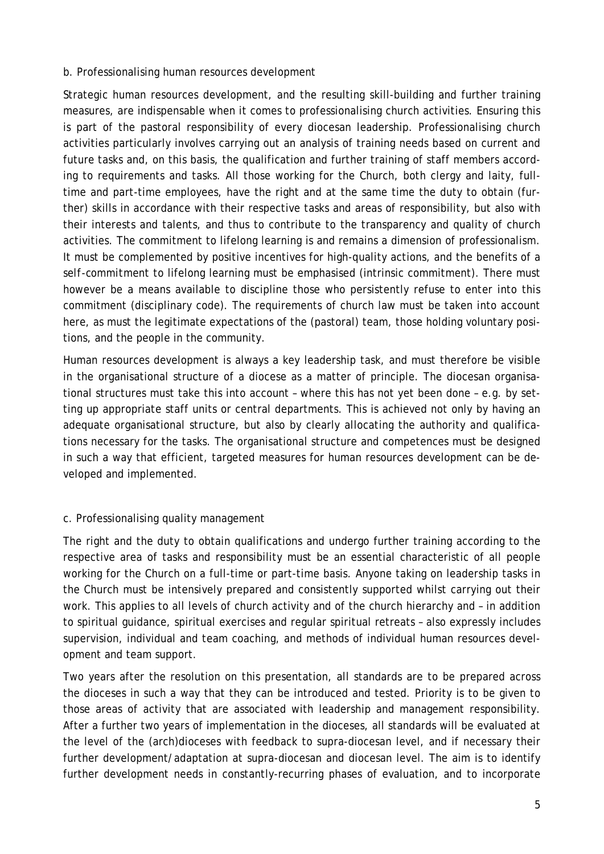#### b. Professionalising human resources development

Strategic human resources development, and the resulting skill-building and further training measures, are indispensable when it comes to professionalising church activities. Ensuring this is part of the pastoral responsibility of every diocesan leadership. Professionalising church activities particularly involves carrying out an analysis of training needs based on current and future tasks and, on this basis, the qualification and further training of staff members according to requirements and tasks. All those working for the Church, both clergy and laity, fulltime and part-time employees, have the right and at the same time the duty to obtain (further) skills in accordance with their respective tasks and areas of responsibility, but also with their interests and talents, and thus to contribute to the transparency and quality of church activities. The commitment to lifelong learning is and remains a dimension of professionalism. It must be complemented by positive incentives for high-quality actions, and the benefits of a *self-commitment* to lifelong learning must be emphasised (intrinsic commitment). There must however be a means available to discipline those who persistently refuse to enter into this commitment (disciplinary code). The requirements of church law must be taken into account here, as must the legitimate expectations of the (pastoral) team, those holding voluntary positions, and the people in the community.

Human resources development is always a key leadership task, and must therefore be visible in the organisational structure of a diocese as a matter of principle. The diocesan organisational structures must take this into account – where this has not yet been done – e.g. by setting up appropriate staff units or central departments. This is achieved not only by having an adequate organisational structure, but also by clearly allocating the authority and qualifications necessary for the tasks. The organisational structure and competences must be designed in such a way that efficient, targeted measures for human resources development can be developed and implemented.

#### c. Professionalising quality management

The right and the duty to obtain qualifications and undergo further training according to the respective area of tasks and responsibility must be an essential characteristic of all people working for the Church on a full-time or part-time basis. Anyone taking on leadership tasks in the Church must be intensively prepared and consistently supported whilst carrying out their work. This applies to all levels of church activity and of the church hierarchy and – in addition to spiritual guidance, spiritual exercises and regular spiritual retreats – also expressly includes supervision, individual and team coaching, and methods of individual human resources development and team support.

Two years after the resolution on this presentation, all standards are to be prepared across the dioceses in such a way that they can be introduced and tested. Priority is to be given to those areas of activity that are associated with leadership and management responsibility. After a further two years of implementation in the dioceses, all standards will be evaluated at the level of the (arch)dioceses with feedback to supra-diocesan level, and if necessary their further development/adaptation at supra-diocesan and diocesan level. The aim is to identify further development needs in constantly-recurring phases of evaluation, and to incorporate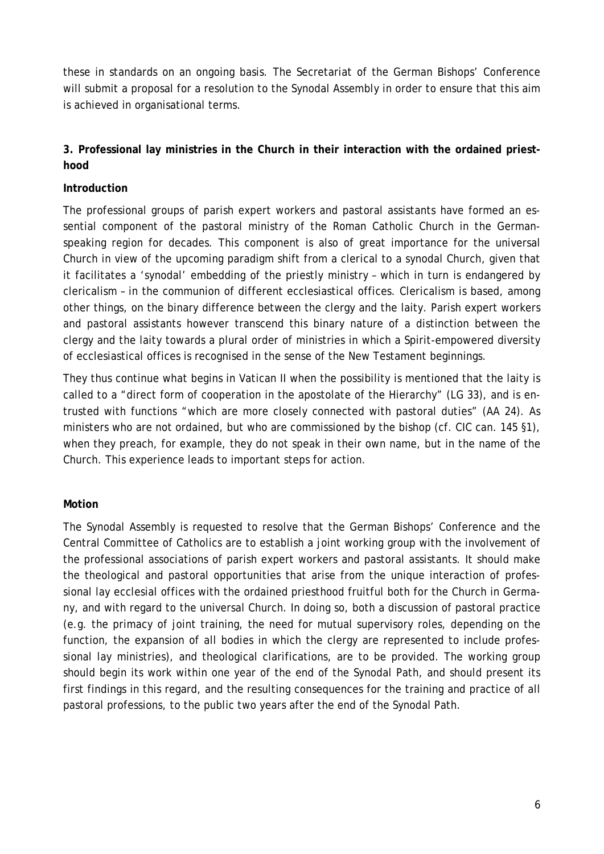these in standards on an ongoing basis. The Secretariat of the German Bishops' Conference will submit a proposal for a resolution to the Synodal Assembly in order to ensure that this aim is achieved in organisational terms.

# **3. Professional lay ministries in the Church in their interaction with the ordained priesthood**

### **Introduction**

The professional groups of parish expert workers and pastoral assistants have formed an essential component of the pastoral ministry of the Roman Catholic Church in the Germanspeaking region for decades. This component is also of great importance for the universal Church in view of the upcoming paradigm shift from a clerical to a synodal Church, given that it facilitates a 'synodal' embedding of the priestly ministry – which in turn is endangered by clericalism – in the communion of different ecclesiastical offices. Clericalism is based, among other things, on the binary difference between the clergy and the laity. Parish expert workers and pastoral assistants however transcend this binary nature of a distinction between the clergy and the laity towards a plural order of ministries in which a Spirit-empowered diversity of ecclesiastical offices is recognised in the sense of the New Testament beginnings.

They thus continue what begins in Vatican II when the possibility is mentioned that the laity is called to a "direct form of cooperation in the apostolate of the Hierarchy" (LG 33), and is entrusted with functions "which are more closely connected with pastoral duties" (AA 24). As ministers who are not ordained, but who are commissioned by the bishop (cf. CIC can. 145 §1), when they preach, for example, they do not speak in their own name, but in the name of the Church. This experience leads to important steps for action.

#### **Motion**

The Synodal Assembly is requested to resolve that the German Bishops' Conference and the Central Committee of Catholics are to establish a joint working group with the involvement of the professional associations of parish expert workers and pastoral assistants. It should make the theological and pastoral opportunities that arise from the unique interaction of professional lay ecclesial offices with the ordained priesthood fruitful both for the Church in Germany, and with regard to the universal Church. In doing so, both a discussion of pastoral practice (e.g. the primacy of joint training, the need for mutual supervisory roles, depending on the function, the expansion of all bodies in which the clergy are represented to include professional lay ministries), and theological clarifications, are to be provided. The working group should begin its work within one year of the end of the Synodal Path, and should present its first findings in this regard, and the resulting consequences for the training and practice of all pastoral professions, to the public two years after the end of the Synodal Path.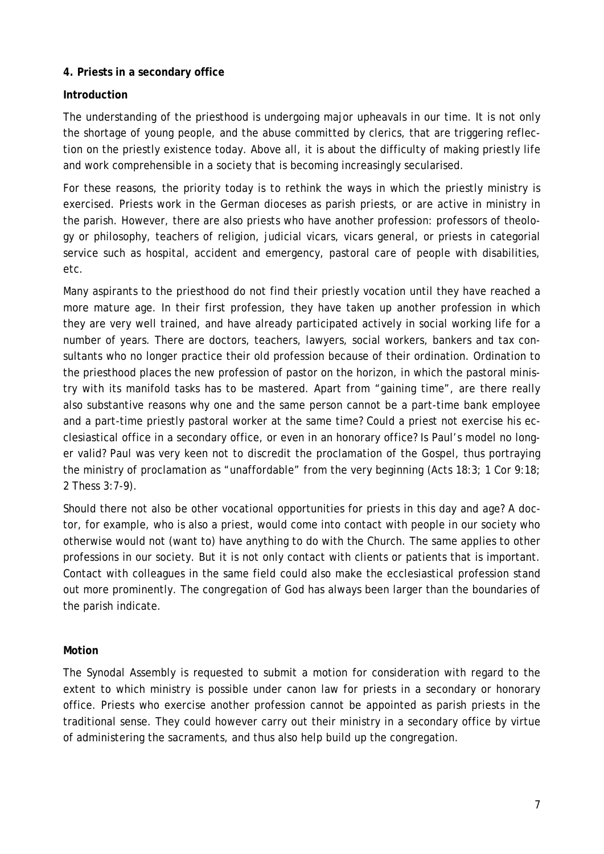#### **4. Priests in a secondary office**

# **Introduction**

The understanding of the priesthood is undergoing major upheavals in our time. It is not only the shortage of young people, and the abuse committed by clerics, that are triggering reflection on the priestly existence today. Above all, it is about the difficulty of making priestly life and work comprehensible in a society that is becoming increasingly secularised.

For these reasons, the priority today is to rethink the ways in which the priestly ministry is exercised. Priests work in the German dioceses as parish priests, or are active in ministry in the parish. However, there are also priests who have another profession: professors of theology or philosophy, teachers of religion, judicial vicars, vicars general, or priests in categorial service such as hospital, accident and emergency, pastoral care of people with disabilities, etc.

Many aspirants to the priesthood do not find their priestly vocation until they have reached a more mature age. In their first profession, they have taken up another profession in which they are very well trained, and have already participated actively in social working life for a number of years. There are doctors, teachers, lawyers, social workers, bankers and tax consultants who no longer practice their old profession because of their ordination. Ordination to the priesthood places the new profession of pastor on the horizon, in which the pastoral ministry with its manifold tasks has to be mastered. Apart from "gaining time", are there really also substantive reasons why one and the same person cannot be a part-time bank employee and a part-time priestly pastoral worker at the same time? Could a priest not exercise his ecclesiastical office in a secondary office, or even in an honorary office? Is Paul's model no longer valid? Paul was very keen not to discredit the proclamation of the Gospel, thus portraying the ministry of proclamation as "unaffordable" from the very beginning (Acts 18:3; 1 Cor 9:18; 2 Thess 3:7-9).

Should there not also be other vocational opportunities for priests in this day and age? A doctor, for example, who is also a priest, would come into contact with people in our society who otherwise would not (want to) have anything to do with the Church. The same applies to other professions in our society. But it is not only contact with clients or patients that is important. Contact with colleagues in the same field could also make the ecclesiastical profession stand out more prominently. The congregation of God has always been larger than the boundaries of the parish indicate.

#### **Motion**

The Synodal Assembly is requested to submit a motion for consideration with regard to the extent to which ministry is possible under canon law for priests in a secondary or honorary office. Priests who exercise another profession cannot be appointed as parish priests in the traditional sense. They could however carry out their ministry in a secondary office by virtue of administering the sacraments, and thus also help build up the congregation.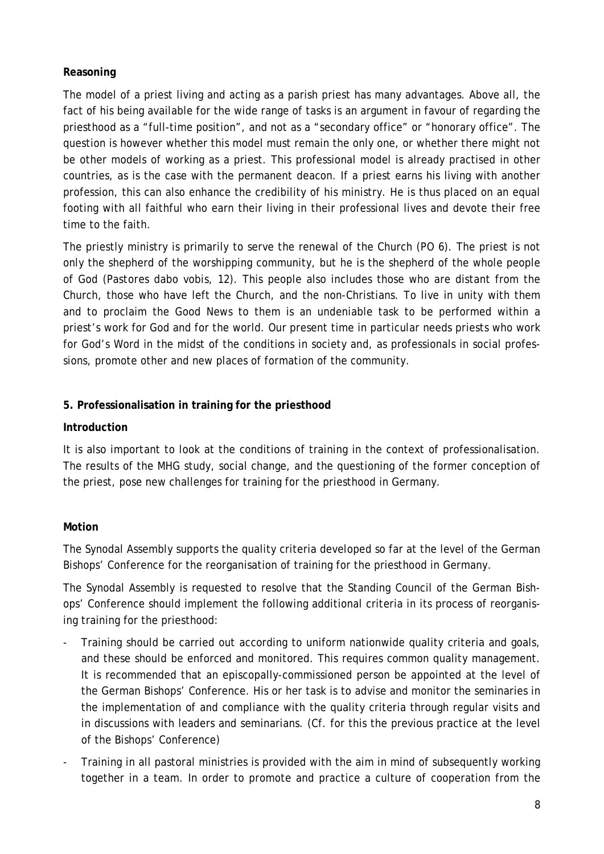### **Reasoning**

The model of a priest living and acting as a parish priest has many advantages. Above all, the fact of his being available for the wide range of tasks is an argument in favour of regarding the priesthood as a "full-time position", and not as a "secondary office" or "honorary office". The question is however whether this model must remain the only one, or whether there might not be other models of working as a priest. This professional model is already practised in other countries, as is the case with the permanent deacon. If a priest earns his living with another profession, this can also enhance the credibility of his ministry. He is thus placed on an equal footing with all faithful who earn their living in their professional lives and devote their free time to the faith.

The priestly ministry is primarily to serve the renewal of the Church (PO 6). The priest is not only the shepherd of the worshipping community, but he is the shepherd of the whole people of God (*Pastores dabo vobis*, 12). This people also includes those who are distant from the Church, those who have left the Church, and the non-Christians. To live in unity with them and to proclaim the Good News to them is an undeniable task to be performed within a priest's work for God and for the world. Our present time in particular needs priests who work for God's Word in the midst of the conditions in society and, as professionals in social professions, promote other and new places of formation of the community.

# **5. Professionalisation in training for the priesthood**

### **Introduction**

It is also important to look at the conditions of training in the context of professionalisation. The results of the MHG study, social change, and the questioning of the former conception of the priest, pose new challenges for training for the priesthood in Germany.

# **Motion**

The Synodal Assembly supports the quality criteria developed so far at the level of the German Bishops' Conference for the reorganisation of training for the priesthood in Germany.

The Synodal Assembly is requested to resolve that the Standing Council of the German Bishops' Conference should implement the following additional criteria in its process of reorganising training for the priesthood:

- Training should be carried out according to uniform nationwide quality criteria and goals, and these should be enforced and monitored. This requires common quality management. It is recommended that an episcopally-commissioned person be appointed at the level of the German Bishops' Conference. His or her task is to advise and monitor the seminaries in the implementation of and compliance with the quality criteria through regular visits and in discussions with leaders and seminarians. (Cf. for this the previous practice at the level of the Bishops' Conference)
- Training in all pastoral ministries is provided with the aim in mind of subsequently working together in a team. In order to promote and practice a culture of cooperation from the